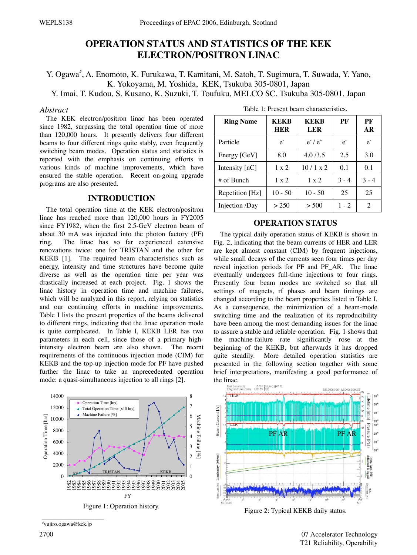# **OPERATION STATUS AND STATISTICS OF THE KEK ELECTRON/POSITRON LINAC**

Y. Ogawa<sup>#</sup>, A. Enomoto, K. Furukawa, T. Kamitani, M. Satoh, T. Sugimura, T. Suwada, Y. Yano, K. Yokoyama, M. Yoshida, KEK, Tsukuba 305-0801, Japan

Y. Imai, T. Kudou, S. Kusano, K. Suzuki, T. Toufuku, MELCO SC, Tsukuba 305-0801, Japan

#### *Abstract*

The KEK electron/positron linac has been operated since 1982, surpassing the total operation time of more than 120,000 hours. It presently delivers four different beams to four different rings quite stably, even frequently switching beam modes. Operation status and statistics is reported with the emphasis on continuing efforts in various kinds of machine improvements, which have ensured the stable operation. Recent on-going upgrade programs are also presented.

#### **INTRODUCTION**

The total operation time at the KEK electron/positron linac has reached more than 120,000 hours in FY2005 since FY1982, when the first 2.5-GeV electron beam of about 30 mA was injected into the photon factory (PF) ring. The linac has so far experienced extensive renovations twice: one for TRISTAN and the other for KEKB [1]. The required beam characteristics such as energy, intensity and time structures have become quite diverse as well as the operation time per year was drastically increased at each project. Fig. 1 shows the linac history in operation time and machine failures, which will be analyzed in this report, relying on statistics and our continuing efforts in machine improvements. Table I lists the present properties of the beams delivered to different rings, indicating that the linac operation mode is quite complicated. In Table I, KEKB LER has two parameters in each cell, since those of a primary highintensity electron beam are also shown. The recent requirements of the continuous injection mode (CIM) for KEKB and the top-up injection mode for PF have pushed further the linac to take an unprecedented operation mode: a quasi-simultaneous injection to all rings [2].



\_\_\_\_\_\_\_\_\_\_\_\_\_\_\_\_\_\_\_\_\_\_\_\_\_\_\_\_\_\_\_\_\_\_\_\_\_\_\_\_\_\_\_\_\_\_ # yujiro.ogawa@kek.jp

| <b>Ring Name</b> | <b>KEKB</b><br><b>HER</b> | <b>KEKB</b><br><b>LER</b> | PF      | PF<br>AR       |
|------------------|---------------------------|---------------------------|---------|----------------|
| Particle         | $\mathbf{e}$              | $e^{\cdot}/e^{\cdot}$     | $e^{-}$ | e <sup>z</sup> |
| Energy [GeV]     | 8.0                       | 4.0/3.5                   | 2.5     | 3.0            |
| Intensity $[nC]$ | $1 \times 2$              | 10/1 x 2                  | 0.1     | 0.1            |
| # of Bunch       | $1 \times 2$              | $1 \times 2$              | $3 - 4$ | $3 - 4$        |
| Repetition [Hz]  | $10 - 50$                 | $10 - 50$                 | 25      | 25             |
| Injection /Day   | > 250                     | > 500                     | $1 - 2$ | 2              |

Table 1: Present beam characteristics.

#### **OPERATION STATUS**

The typical daily operation status of KEKB is shown in Fig. 2, indicating that the beam currents of HER and LER are kept almost constant (CIM) by frequent injections, while small decays of the currents seen four times per day reveal injection periods for PF and PF\_AR. The linac eventually undergoes full-time injections to four rings. Presently four beam modes are switched so that all settings of magnets, rf phases and beam timings are changed according to the beam properties listed in Table I. As a consequence, the minimization of a beam-mode switching time and the realization of its reproducibility have been among the most demanding issues for the linac to assure a stable and reliable operation. Fig. 1 shows that the machine-failure rate significantly rose at the beginning of the KEKB, but afterwards it has dropped quite steadily. More detailed operation statistics are presented in the following section together with some brief interpretations, manifesting a good performance of



Figure 2: Typical KEKB daily status.

2700 07 Accelerator Technology T21 Reliability, Operability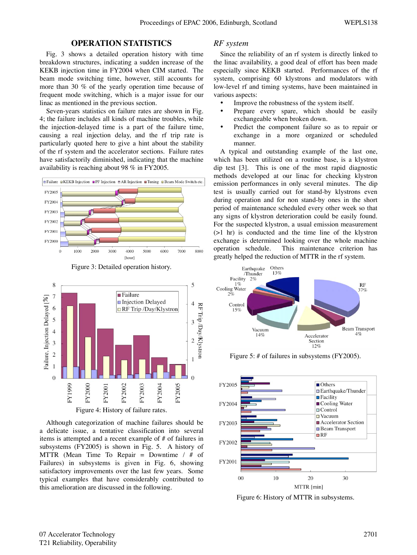## **OPERATION STATISTICS**

Fig. 3 shows a detailed operation history with time breakdown structures, indicating a sudden increase of the KEKB injection time in FY2004 when CIM started. The beam mode switching time, however, still accounts for more than 30 % of the yearly operation time because of frequent mode switching, which is a major issue for our linac as mentioned in the previous section.

Seven-years statistics on failure rates are shown in Fig. 4; the failure includes all kinds of machine troubles, while the injection-delayed time is a part of the failure time, causing a real injection delay, and the rf trip rate is particularly quoted here to give a hint about the stability of the rf system and the accelerator sections. Failure rates have satisfactorily diminished, indicating that the machine availability is reaching about 98 % in FY2005.





Figure 4: History of failure rates.

Although categorization of machine failures should be a delicate issue, a tentative classification into several items is attempted and a recent example of # of failures in subsystems (FY2005) is shown in Fig. 5. A history of MTTR (Mean Time To Repair = Downtime  $/$  # of Failures) in subsystems is given in Fig. 6, showing satisfactory improvements over the last few years. Some typical examples that have considerably contributed to this amelioration are discussed in the following.

#### *RF system*

Since the reliability of an rf system is directly linked to the linac availability, a good deal of effort has been made especially since KEKB started. Performances of the rf system, comprising 60 klystrons and modulators with low-level rf and timing systems, have been maintained in various aspects:

- Improve the robustness of the system itself.
- Prepare every spare, which should be easily exchangeable when broken down.
- Predict the component failure so as to repair or exchange in a more organized or scheduled manner.

A typical and outstanding example of the last one, which has been utilized on a routine base, is a klystron dip test [3]. This is one of the most rapid diagnostic methods developed at our linac for checking klystron emission performances in only several minutes. The dip test is usually carried out for stand-by klystrons even during operation and for non stand-by ones in the short period of maintenance scheduled every other week so that any signs of klystron deterioration could be easily found. For the suspected klystron, a usual emission measurement (>1 hr) is conducted and the time line of the klystron exchange is determined looking over the whole machine operation schedule. This maintenance criterion has greatly helped the reduction of MTTR in the rf system.



Figure 5: # of failures in subsystems (FY2005).



Figure 6: History of MTTR in subsystems.